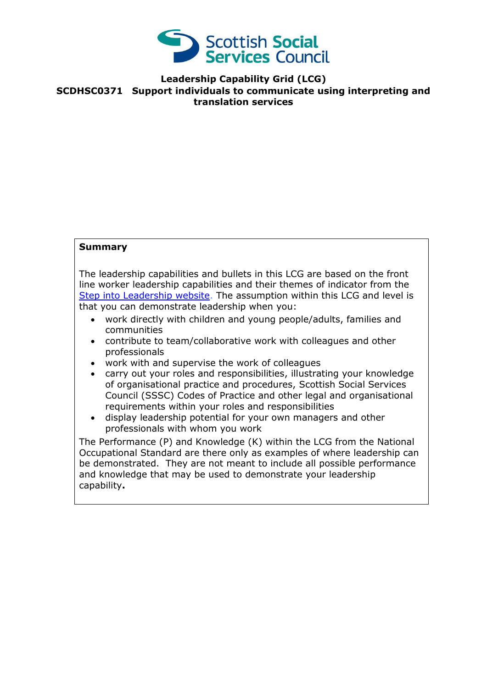

## **Leadership Capability Grid (LCG) SCDHSC0371 Support individuals to communicate using interpreting and translation services**

## **Summary**

The leadership capabilities and bullets in this LCG are based on the front line worker leadership capabilities and their themes of indicator from the [Step into Leadership website.](http://www.stepintoleadership.info/) The assumption within this LCG and level is that you can demonstrate leadership when you:

- work directly with children and young people/adults, families and communities
- contribute to team/collaborative work with colleagues and other professionals
- work with and supervise the work of colleagues
- carry out your roles and responsibilities, illustrating your knowledge of organisational practice and procedures, Scottish Social Services Council (SSSC) Codes of Practice and other legal and organisational requirements within your roles and responsibilities
- display leadership potential for your own managers and other professionals with whom you work

The Performance (P) and Knowledge (K) within the LCG from the National Occupational Standard are there only as examples of where leadership can be demonstrated. They are not meant to include all possible performance and knowledge that may be used to demonstrate your leadership capability**.**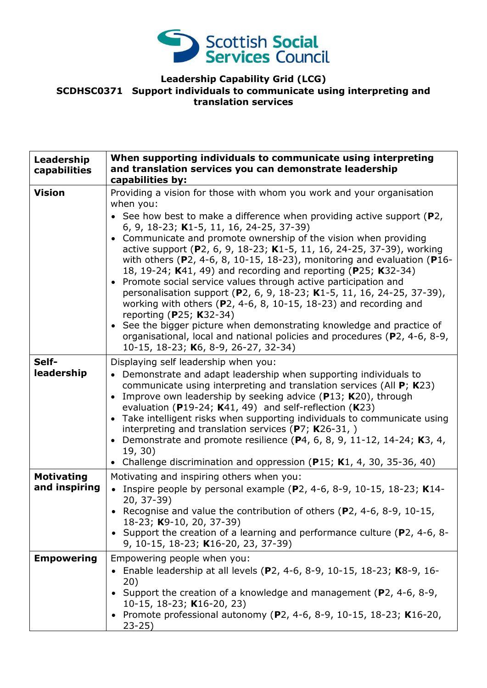

## **Leadership Capability Grid (LCG) SCDHSC0371 Support individuals to communicate using interpreting and translation services**

| Leadership<br>capabilities         | When supporting individuals to communicate using interpreting<br>and translation services you can demonstrate leadership<br>capabilities by:                                                                                                                                                                                                                                                                                                                                                                                                                                                                                                                                                                                                                                                                                                                                                                                                                 |
|------------------------------------|--------------------------------------------------------------------------------------------------------------------------------------------------------------------------------------------------------------------------------------------------------------------------------------------------------------------------------------------------------------------------------------------------------------------------------------------------------------------------------------------------------------------------------------------------------------------------------------------------------------------------------------------------------------------------------------------------------------------------------------------------------------------------------------------------------------------------------------------------------------------------------------------------------------------------------------------------------------|
| <b>Vision</b>                      | Providing a vision for those with whom you work and your organisation<br>when you:<br>• See how best to make a difference when providing active support ( $P2$ ,<br>6, 9, 18-23; K1-5, 11, 16, 24-25, 37-39)<br>• Communicate and promote ownership of the vision when providing<br>active support (P2, 6, 9, 18-23; K1-5, 11, 16, 24-25, 37-39), working<br>with others ( $P$ 2, 4-6, 8, 10-15, 18-23), monitoring and evaluation ( $P$ 16-<br>18, 19-24; K41, 49) and recording and reporting (P25; K32-34)<br>• Promote social service values through active participation and<br>personalisation support (P2, 6, 9, 18-23; K1-5, 11, 16, 24-25, 37-39),<br>working with others ( $P$ 2, 4-6, 8, 10-15, 18-23) and recording and<br>reporting (P25; K32-34)<br>• See the bigger picture when demonstrating knowledge and practice of<br>organisational, local and national policies and procedures (P2, 4-6, 8-9,<br>10-15, 18-23; K6, 8-9, 26-27, 32-34) |
| Self-<br>leadership                | Displaying self leadership when you:<br>• Demonstrate and adapt leadership when supporting individuals to<br>communicate using interpreting and translation services (All $P$ ; K23)<br>Improve own leadership by seeking advice (P13; K20), through<br>evaluation (P19-24; $K41$ , 49) and self-reflection (K23)<br>• Take intelligent risks when supporting individuals to communicate using<br>interpreting and translation services ( $P$ 7; K26-31, )<br>Demonstrate and promote resilience (P4, 6, 8, 9, 11-12, 14-24; K3, 4,<br>19, 30)<br>Challenge discrimination and oppression ( $P15$ ; K1, 4, 30, 35-36, 40)<br>$\bullet$                                                                                                                                                                                                                                                                                                                       |
| <b>Motivating</b><br>and inspiring | Motivating and inspiring others when you:<br>• Inspire people by personal example (P2, 4-6, 8-9, 10-15, 18-23; K14-<br>$20, 37-39)$<br>• Recognise and value the contribution of others (P2, 4-6, 8-9, 10-15,<br>18-23; K9-10, 20, 37-39)<br>• Support the creation of a learning and performance culture (P2, 4-6, 8-<br>9, 10-15, 18-23; K16-20, 23, 37-39)                                                                                                                                                                                                                                                                                                                                                                                                                                                                                                                                                                                                |
| <b>Empowering</b>                  | Empowering people when you:<br>• Enable leadership at all levels (P2, 4-6, 8-9, 10-15, 18-23; K8-9, 16-<br>20)<br>Support the creation of a knowledge and management ( $P$ 2, 4-6, 8-9,<br>10-15, 18-23; K16-20, 23)<br>• Promote professional autonomy (P2, 4-6, 8-9, 10-15, 18-23; K16-20,<br>$23 - 25$                                                                                                                                                                                                                                                                                                                                                                                                                                                                                                                                                                                                                                                    |